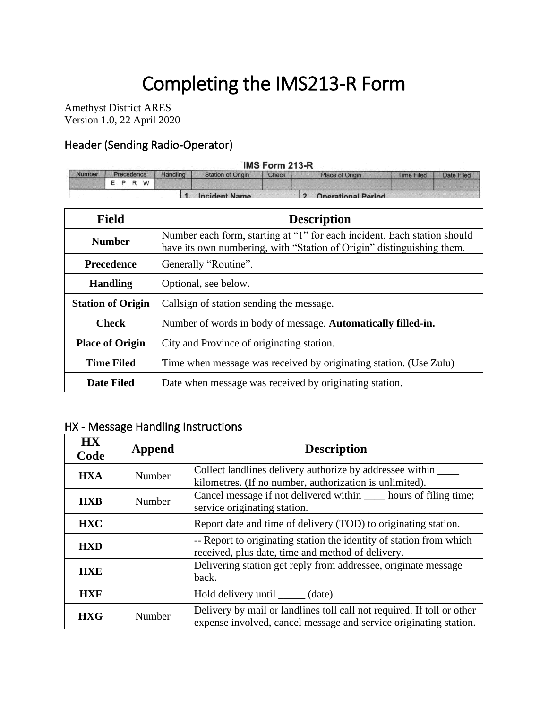# Completing the IMS213-R Form

Amethyst District ARES Version 1.0, 22 April 2020

#### Header (Sending Radio-Operator)

### IMS Form 213-R

| <b>Number</b> | Precedence | Handling | <b>Station of Origin</b> | <b>Check</b> | Place of Origin           | <b>Time Filed</b> | Date Filed |
|---------------|------------|----------|--------------------------|--------------|---------------------------|-------------------|------------|
|               | W<br>R     |          |                          |              |                           |                   |            |
|               |            |          | <b>Incident Name</b>     |              | <b>Onerational Period</b> |                   |            |

| <b>Field</b>                              | <b>Description</b>                                                                                                                                |  |  |
|-------------------------------------------|---------------------------------------------------------------------------------------------------------------------------------------------------|--|--|
| <b>Number</b>                             | Number each form, starting at "1" for each incident. Each station should<br>have its own numbering, with "Station of Origin" distinguishing them. |  |  |
| <b>Precedence</b><br>Generally "Routine". |                                                                                                                                                   |  |  |
| <b>Handling</b>                           | Optional, see below.                                                                                                                              |  |  |
| <b>Station of Origin</b>                  | Callsign of station sending the message.                                                                                                          |  |  |
| <b>Check</b>                              | Number of words in body of message. Automatically filled-in.                                                                                      |  |  |
| <b>Place of Origin</b>                    | City and Province of originating station.                                                                                                         |  |  |
| <b>Time Filed</b>                         | Time when message was received by originating station. (Use Zulu)                                                                                 |  |  |
| Date Filed                                | Date when message was received by originating station.                                                                                            |  |  |

#### HX - Message Handling Instructions

| <b>HX</b><br>Code | Append | <b>Description</b>                                                                                                                          |
|-------------------|--------|---------------------------------------------------------------------------------------------------------------------------------------------|
| <b>HXA</b>        | Number | Collect landlines delivery authorize by addressee within<br>kilometres. (If no number, authorization is unlimited).                         |
| <b>HXB</b>        | Number | Cancel message if not delivered within hours of filing time;<br>service originating station.                                                |
| <b>HXC</b>        |        | Report date and time of delivery (TOD) to originating station.                                                                              |
| <b>HXD</b>        |        | -- Report to originating station the identity of station from which<br>received, plus date, time and method of delivery.                    |
| <b>HXE</b>        |        | Delivering station get reply from addressee, originate message<br>back.                                                                     |
| <b>HXF</b>        |        | Hold delivery until ______ (date).                                                                                                          |
| <b>HXG</b>        | Number | Delivery by mail or landlines toll call not required. If toll or other<br>expense involved, cancel message and service originating station. |